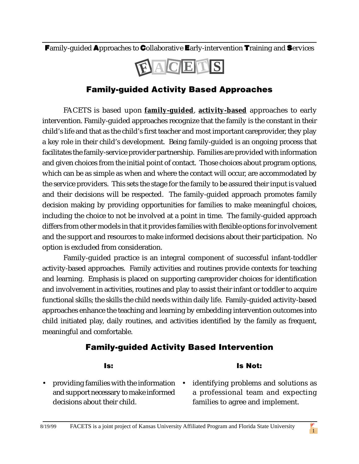Family-guided Approaches to Collaborative Early-intervention Training and Services



## Family-guided Activity Based Approaches

FACETS is based upon **family-guided**, **activity-based** approaches to early intervention. Family-guided approaches recognize that the family is the constant in their child's life and that as the child's first teacher and most important careprovider, they play a key role in their child's development. Being family-guided is an ongoing process that facilitates the family-service provider partnership. Families are provided with information and given choices from the initial point of contact. Those choices about program options, which can be as simple as when and where the contact will occur, are accommodated by the service providers. This sets the stage for the family to be assured their input is valued and their decisions will be respected. The family-guided approach promotes family decision making by providing opportunities for families to make meaningful choices, including the choice to not be involved at a point in time. The family-guided approach differs from other models in that it provides families with flexible options for involvement and the support and resources to make informed decisions about their participation. No option is excluded from consideration.

Family-guided practice is an integral component of successful infant-toddler activity-based approaches. Family activities and routines provide contexts for teaching and learning. Emphasis is placed on supporting careprovider choices for identification and involvement in activities, routines and play to assist their infant or toddler to acquire functional skills; the skills the child needs within daily life. Family-guided activity-based approaches enhance the teaching and learning by embedding intervention outcomes into child initiated play, daily routines, and activities identified by the family as frequent, meaningful and comfortable.

## Family-guided Activity Based Intervention

## Is:

decisions about their child.

## and support necessary to make informed

• providing families with the information • identifying problems and solutions as a professional team and expecting families to agree and implement.

Is Not: